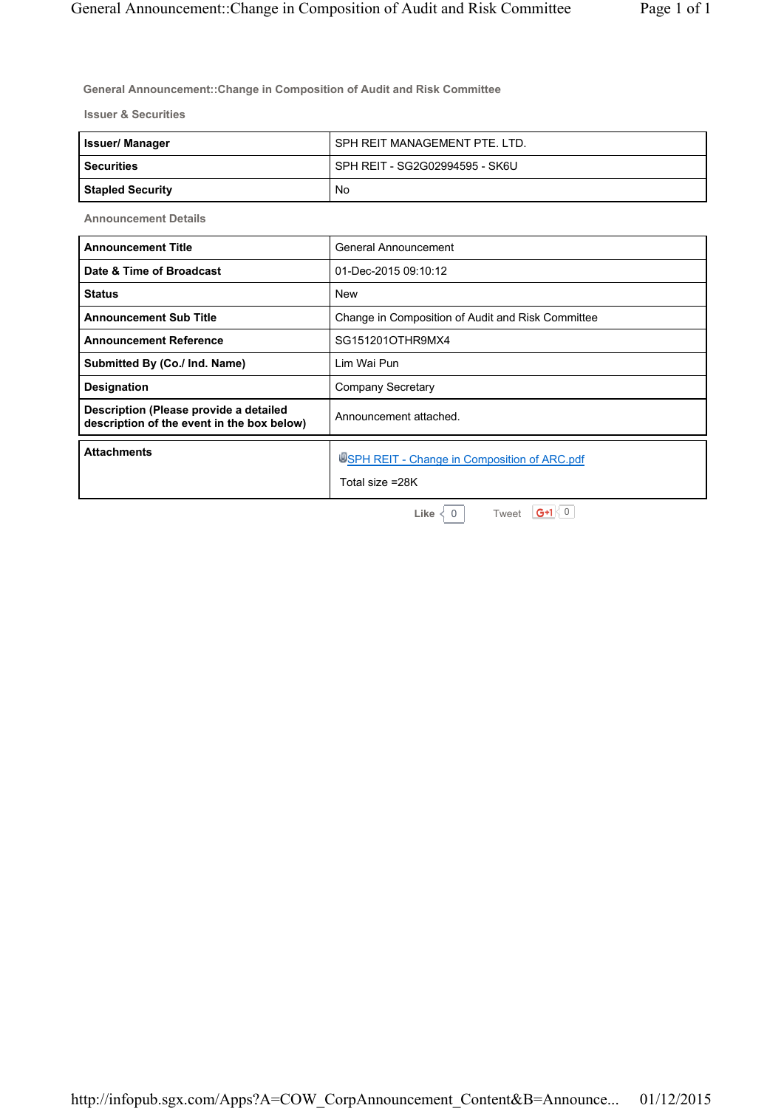**General Announcement::Change in Composition of Audit and Risk Committee** 

**Issuer & Securities**

| <b>Issuer/Manager</b>   | SPH REIT MANAGEMENT PTE. LTD.  |
|-------------------------|--------------------------------|
| l Securities            | SPH REIT - SG2G02994595 - SK6U |
| <b>Stapled Security</b> | No                             |

**Announcement Details**

| <b>Announcement Title</b>                                                            | General Announcement                                            |
|--------------------------------------------------------------------------------------|-----------------------------------------------------------------|
| Date & Time of Broadcast                                                             | 01-Dec-2015 09:10:12                                            |
| <b>Status</b>                                                                        | <b>New</b>                                                      |
| <b>Announcement Sub Title</b>                                                        | Change in Composition of Audit and Risk Committee               |
| <b>Announcement Reference</b>                                                        | SG151201OTHR9MX4                                                |
| Submitted By (Co./ Ind. Name)                                                        | Lim Wai Pun                                                     |
| <b>Designation</b>                                                                   | Company Secretary                                               |
| Description (Please provide a detailed<br>description of the event in the box below) | Announcement attached.                                          |
| <b>Attachments</b>                                                                   | USPH REIT - Change in Composition of ARC.pdf<br>Total size =28K |

**Like**  $\begin{array}{c} \leftarrow \\ \leftarrow \end{array}$  0 | Tweet **G+1** $\begin{array}{c} \leftarrow \\ \leftarrow \end{array}$